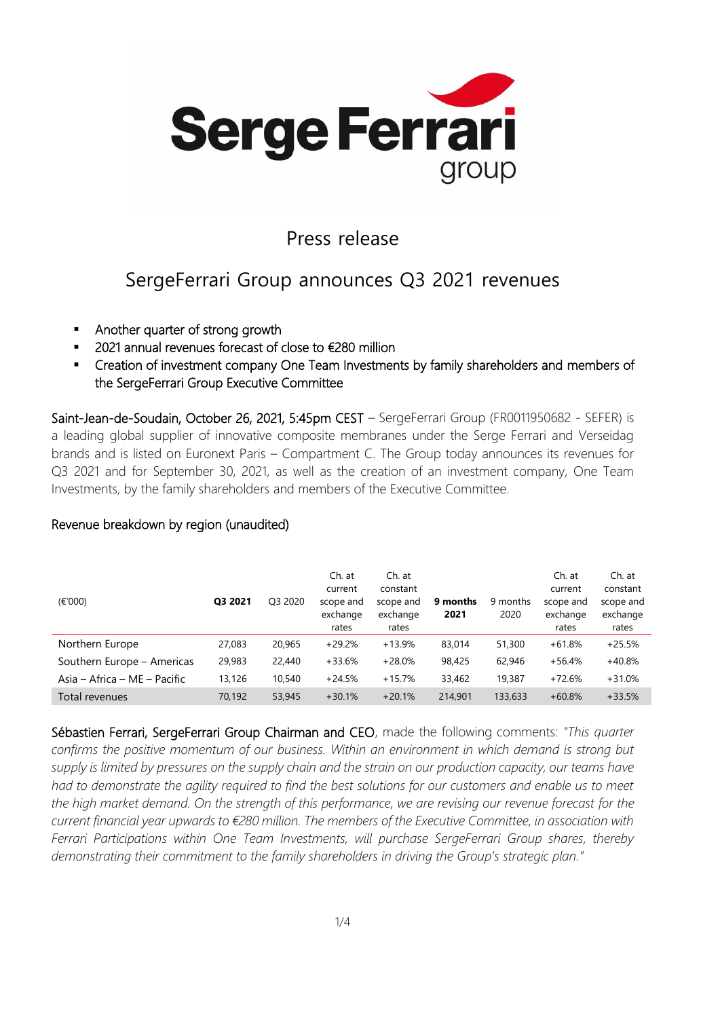

#### Press release

### SergeFerrari Group announces Q3 2021 revenues

- Another quarter of strong growth
- 2021 annual revenues forecast of close to €280 million
- Creation of investment company One Team Investments by family shareholders and members of the SergeFerrari Group Executive Committee

Saint-Jean-de-Soudain, October 26, 2021, 5:45pm CEST – SergeFerrari Group (FR0011950682 - SEFER) is a leading global supplier of innovative composite membranes under the Serge Ferrari and Verseidag brands and is listed on Euronext Paris – Compartment C. The Group today announces its revenues for Q3 2021 and for September 30, 2021, as well as the creation of an investment company, One Team Investments, by the family shareholders and members of the Executive Committee.

#### Revenue breakdown by region (unaudited)

| (E'000)                      | Q3 2021 | O <sub>3</sub> 2020 | Ch. at<br>current<br>scope and<br>exchange<br>rates | Ch. at<br>constant<br>scope and<br>exchange<br>rates | 9 months<br>2021 | 9 months<br>2020 | Ch. at<br>current<br>scope and<br>exchange<br>rates | Ch. at<br>constant<br>scope and<br>exchange<br>rates |
|------------------------------|---------|---------------------|-----------------------------------------------------|------------------------------------------------------|------------------|------------------|-----------------------------------------------------|------------------------------------------------------|
| Northern Europe              | 27,083  | 20,965              | $+29.2%$                                            | $+13.9%$                                             | 83,014           | 51,300           | $+61.8%$                                            | $+25.5%$                                             |
| Southern Europe - Americas   | 29,983  | 22,440              | $+33.6%$                                            | $+28.0%$                                             | 98,425           | 62,946           | $+56.4%$                                            | $+40.8%$                                             |
| Asia – Africa – ME – Pacific | 13,126  | 10,540              | $+24.5%$                                            | $+15.7%$                                             | 33,462           | 19,387           | $+72.6%$                                            | $+31.0%$                                             |
| Total revenues               | 70.192  | 53,945              | $+30.1%$                                            | $+20.1%$                                             | 214,901          | 133,633          | $+60.8%$                                            | $+33.5%$                                             |

Sébastien Ferrari, SergeFerrari Group Chairman and CEO, made the following comments: *"This quarter confirms the positive momentum of our business. Within an environment in which demand is strong but supply is limited by pressures on the supply chain and the strain on our production capacity, our teams have had to demonstrate the agility required to find the best solutions for our customers and enable us to meet the high market demand. On the strength of this performance, we are revising our revenue forecast for the current financial year upwards to €280 million. The members of the Executive Committee, in association with Ferrari Participations within One Team Investments, will purchase SergeFerrari Group shares, thereby demonstrating their commitment to the family shareholders in driving the Group's strategic plan."*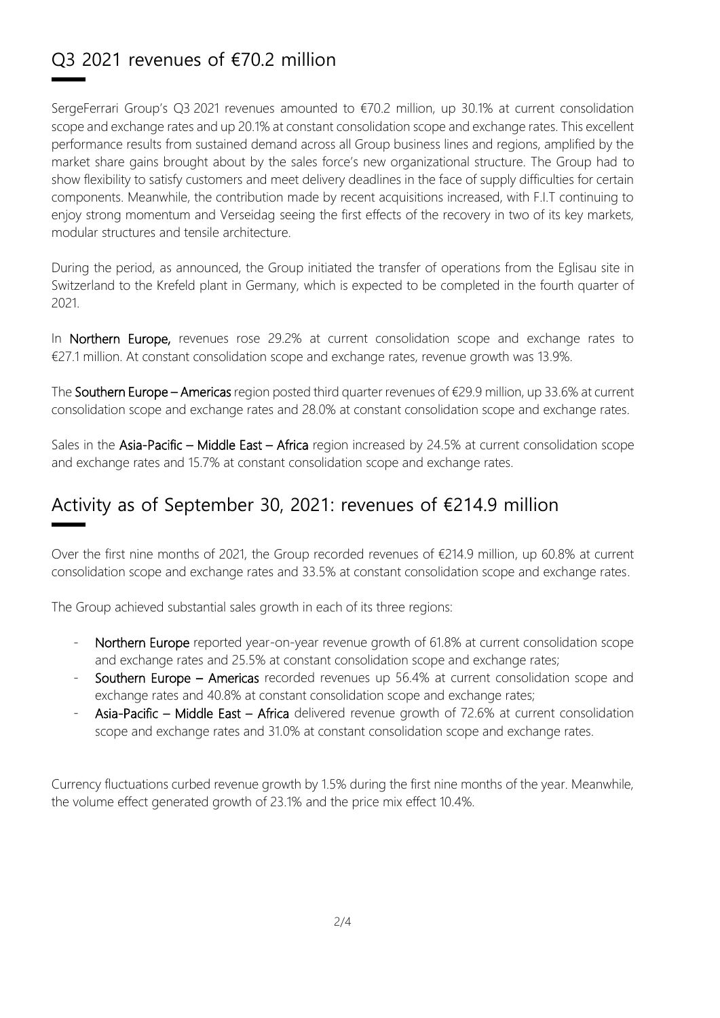## Q3 2021 revenues of €70.2 million

SergeFerrari Group's Q3 2021 revenues amounted to €70.2 million, up 30.1% at current consolidation scope and exchange rates and up 20.1% at constant consolidation scope and exchange rates. This excellent performance results from sustained demand across all Group business lines and regions, amplified by the market share gains brought about by the sales force's new organizational structure. The Group had to show flexibility to satisfy customers and meet delivery deadlines in the face of supply difficulties for certain components. Meanwhile, the contribution made by recent acquisitions increased, with F.I.T continuing to enjoy strong momentum and Verseidag seeing the first effects of the recovery in two of its key markets, modular structures and tensile architecture.

During the period, as announced, the Group initiated the transfer of operations from the Eglisau site in Switzerland to the Krefeld plant in Germany, which is expected to be completed in the fourth quarter of 2021.

In Northern Europe, revenues rose 29.2% at current consolidation scope and exchange rates to €27.1 million. At constant consolidation scope and exchange rates, revenue growth was 13.9%.

The Southern Europe – Americas region posted third quarter revenues of €29.9 million, up 33.6% at current consolidation scope and exchange rates and 28.0% at constant consolidation scope and exchange rates.

Sales in the Asia-Pacific – Middle East – Africa region increased by 24.5% at current consolidation scope and exchange rates and 15.7% at constant consolidation scope and exchange rates.

### Activity as of September 30, 2021: revenues of €214.9 million

Over the first nine months of 2021, the Group recorded revenues of €214.9 million, up 60.8% at current consolidation scope and exchange rates and 33.5% at constant consolidation scope and exchange rates.

The Group achieved substantial sales growth in each of its three regions:

- Northern Europe reported year-on-year revenue growth of 61.8% at current consolidation scope and exchange rates and 25.5% at constant consolidation scope and exchange rates;
- Southern Europe Americas recorded revenues up 56.4% at current consolidation scope and exchange rates and 40.8% at constant consolidation scope and exchange rates;
- Asia-Pacific Middle East Africa delivered revenue growth of 72.6% at current consolidation scope and exchange rates and 31.0% at constant consolidation scope and exchange rates.

Currency fluctuations curbed revenue growth by 1.5% during the first nine months of the year. Meanwhile, the volume effect generated growth of 23.1% and the price mix effect 10.4%.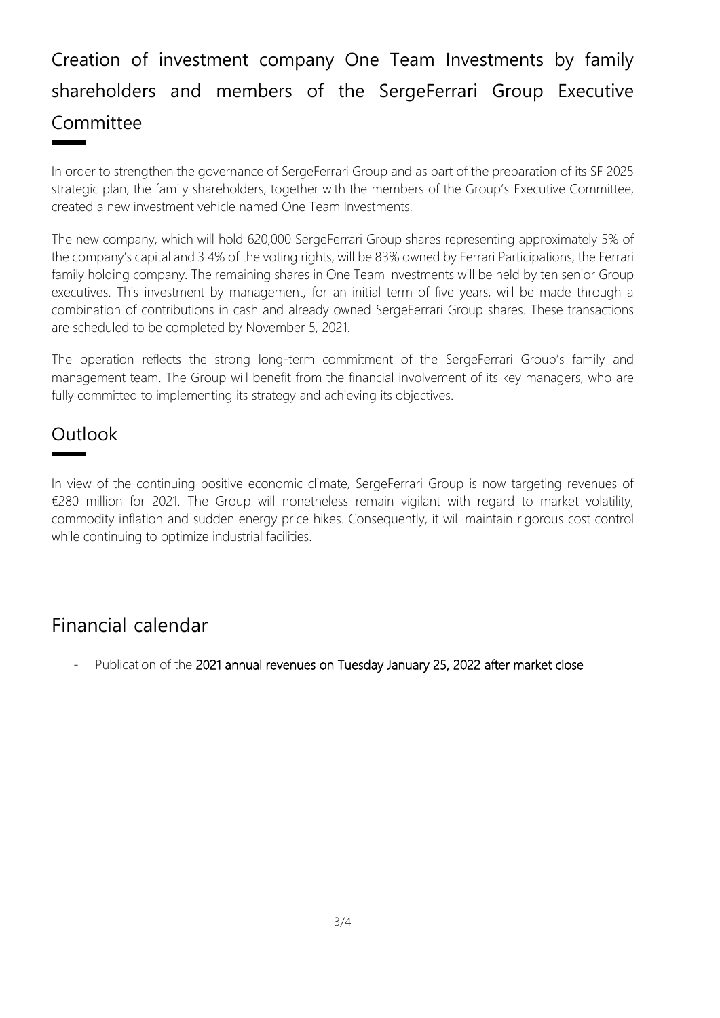# Creation of investment company One Team Investments by family shareholders and members of the SergeFerrari Group Executive Committee

In order to strengthen the governance of SergeFerrari Group and as part of the preparation of its SF 2025 strategic plan, the family shareholders, together with the members of the Group's Executive Committee, created a new investment vehicle named One Team Investments.

The new company, which will hold 620,000 SergeFerrari Group shares representing approximately 5% of the company's capital and 3.4% of the voting rights, will be 83% owned by Ferrari Participations, the Ferrari family holding company. The remaining shares in One Team Investments will be held by ten senior Group executives. This investment by management, for an initial term of five years, will be made through a combination of contributions in cash and already owned SergeFerrari Group shares. These transactions are scheduled to be completed by November 5, 2021.

The operation reflects the strong long-term commitment of the SergeFerrari Group's family and management team. The Group will benefit from the financial involvement of its key managers, who are fully committed to implementing its strategy and achieving its objectives.

### **Outlook**

In view of the continuing positive economic climate, SergeFerrari Group is now targeting revenues of €280 million for 2021. The Group will nonetheless remain vigilant with regard to market volatility, commodity inflation and sudden energy price hikes. Consequently, it will maintain rigorous cost control while continuing to optimize industrial facilities.

### Financial calendar

Publication of the 2021 annual revenues on Tuesday January 25, 2022 after market close